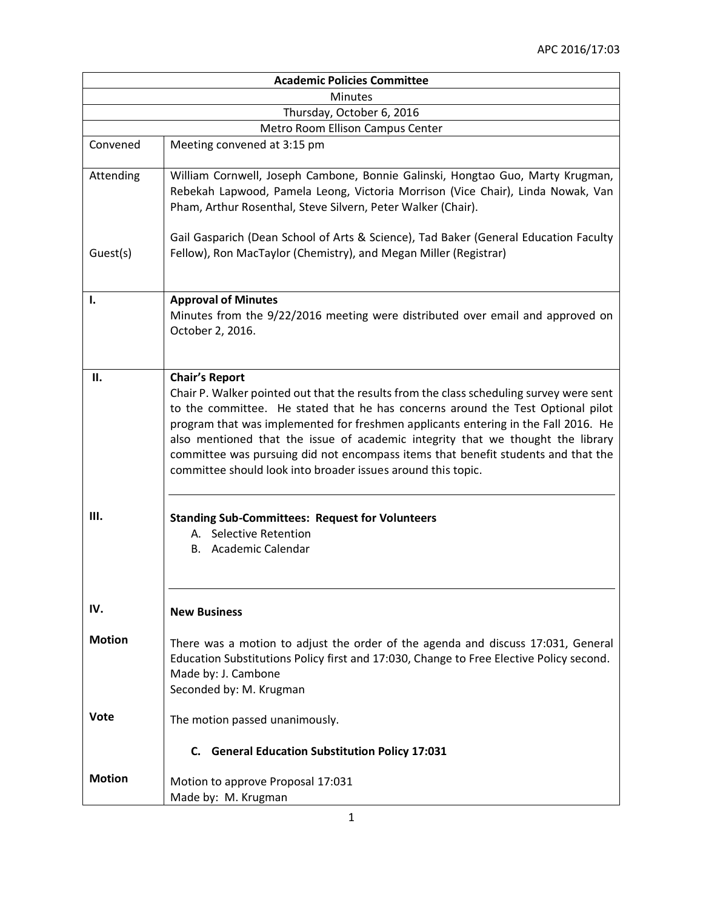|                           | <b>Academic Policies Committee</b>                                                                                                                                                                                                                                                                                                                                                                                                                                                                                                |  |
|---------------------------|-----------------------------------------------------------------------------------------------------------------------------------------------------------------------------------------------------------------------------------------------------------------------------------------------------------------------------------------------------------------------------------------------------------------------------------------------------------------------------------------------------------------------------------|--|
| <b>Minutes</b>            |                                                                                                                                                                                                                                                                                                                                                                                                                                                                                                                                   |  |
| Thursday, October 6, 2016 |                                                                                                                                                                                                                                                                                                                                                                                                                                                                                                                                   |  |
|                           | Metro Room Ellison Campus Center                                                                                                                                                                                                                                                                                                                                                                                                                                                                                                  |  |
| Convened                  | Meeting convened at 3:15 pm                                                                                                                                                                                                                                                                                                                                                                                                                                                                                                       |  |
| Attending                 | William Cornwell, Joseph Cambone, Bonnie Galinski, Hongtao Guo, Marty Krugman,<br>Rebekah Lapwood, Pamela Leong, Victoria Morrison (Vice Chair), Linda Nowak, Van<br>Pham, Arthur Rosenthal, Steve Silvern, Peter Walker (Chair).                                                                                                                                                                                                                                                                                                 |  |
| Guest(s)                  | Gail Gasparich (Dean School of Arts & Science), Tad Baker (General Education Faculty<br>Fellow), Ron MacTaylor (Chemistry), and Megan Miller (Registrar)                                                                                                                                                                                                                                                                                                                                                                          |  |
| ı.                        | <b>Approval of Minutes</b><br>Minutes from the 9/22/2016 meeting were distributed over email and approved on<br>October 2, 2016.                                                                                                                                                                                                                                                                                                                                                                                                  |  |
| П.                        | <b>Chair's Report</b><br>Chair P. Walker pointed out that the results from the class scheduling survey were sent<br>to the committee. He stated that he has concerns around the Test Optional pilot<br>program that was implemented for freshmen applicants entering in the Fall 2016. He<br>also mentioned that the issue of academic integrity that we thought the library<br>committee was pursuing did not encompass items that benefit students and that the<br>committee should look into broader issues around this topic. |  |
| Ш.                        | <b>Standing Sub-Committees: Request for Volunteers</b><br>A. Selective Retention<br>B. Academic Calendar                                                                                                                                                                                                                                                                                                                                                                                                                          |  |
| IV.                       | <b>New Business</b>                                                                                                                                                                                                                                                                                                                                                                                                                                                                                                               |  |
| <b>Motion</b>             | There was a motion to adjust the order of the agenda and discuss 17:031, General<br>Education Substitutions Policy first and 17:030, Change to Free Elective Policy second.<br>Made by: J. Cambone<br>Seconded by: M. Krugman                                                                                                                                                                                                                                                                                                     |  |
| Vote                      | The motion passed unanimously.                                                                                                                                                                                                                                                                                                                                                                                                                                                                                                    |  |
|                           | C. General Education Substitution Policy 17:031                                                                                                                                                                                                                                                                                                                                                                                                                                                                                   |  |
| <b>Motion</b>             | Motion to approve Proposal 17:031<br>Made by: M. Krugman                                                                                                                                                                                                                                                                                                                                                                                                                                                                          |  |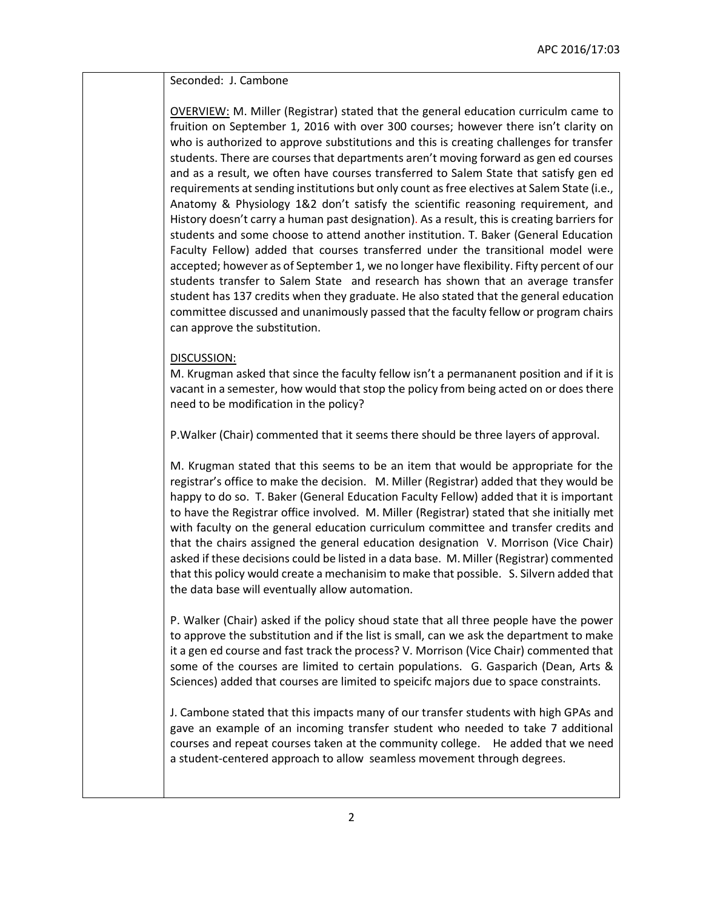Seconded: J. Cambone

OVERVIEW: M. Miller (Registrar) stated that the general education curriculm came to fruition on September 1, 2016 with over 300 courses; however there isn't clarity on who is authorized to approve substitutions and this is creating challenges for transfer students. There are courses that departments aren't moving forward as gen ed courses and as a result, we often have courses transferred to Salem State that satisfy gen ed requirements at sending institutions but only count as free electives at Salem State (i.e., Anatomy & Physiology 1&2 don't satisfy the scientific reasoning requirement, and History doesn't carry a human past designation). As a result, this is creating barriers for students and some choose to attend another institution. T. Baker (General Education Faculty Fellow) added that courses transferred under the transitional model were accepted; however as of September 1, we no longer have flexibility. Fifty percent of our students transfer to Salem State and research has shown that an average transfer student has 137 credits when they graduate. He also stated that the general education committee discussed and unanimously passed that the faculty fellow or program chairs can approve the substitution.

## DISCUSSION:

M. Krugman asked that since the faculty fellow isn't a permananent position and if it is vacant in a semester, how would that stop the policy from being acted on or does there need to be modification in the policy?

P.Walker (Chair) commented that it seems there should be three layers of approval.

M. Krugman stated that this seems to be an item that would be appropriate for the registrar's office to make the decision. M. Miller (Registrar) added that they would be happy to do so. T. Baker (General Education Faculty Fellow) added that it is important to have the Registrar office involved. M. Miller (Registrar) stated that she initially met with faculty on the general education curriculum committee and transfer credits and that the chairs assigned the general education designation V. Morrison (Vice Chair) asked if these decisions could be listed in a data base. M. Miller (Registrar) commented that this policy would create a mechanisim to make that possible. S. Silvern added that the data base will eventually allow automation.

P. Walker (Chair) asked if the policy shoud state that all three people have the power to approve the substitution and if the list is small, can we ask the department to make it a gen ed course and fast track the process? V. Morrison (Vice Chair) commented that some of the courses are limited to certain populations. G. Gasparich (Dean, Arts & Sciences) added that courses are limited to speicifc majors due to space constraints.

J. Cambone stated that this impacts many of our transfer students with high GPAs and gave an example of an incoming transfer student who needed to take 7 additional courses and repeat courses taken at the community college. He added that we need a student-centered approach to allow seamless movement through degrees.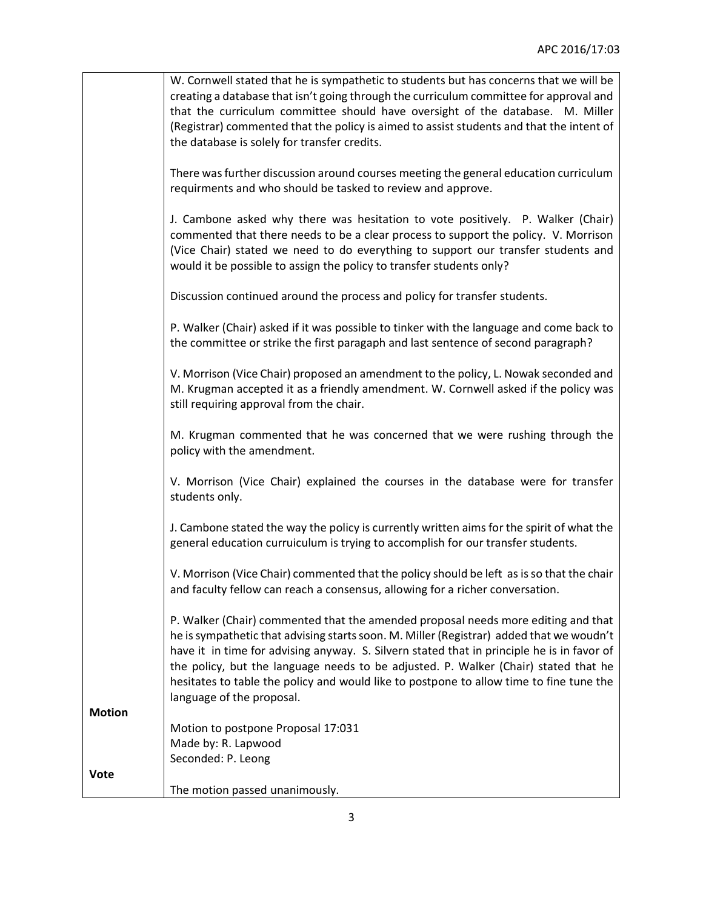|               | W. Cornwell stated that he is sympathetic to students but has concerns that we will be     |
|---------------|--------------------------------------------------------------------------------------------|
|               | creating a database that isn't going through the curriculum committee for approval and     |
|               | that the curriculum committee should have oversight of the database. M. Miller             |
|               |                                                                                            |
|               | (Registrar) commented that the policy is aimed to assist students and that the intent of   |
|               | the database is solely for transfer credits.                                               |
|               |                                                                                            |
|               | There was further discussion around courses meeting the general education curriculum       |
|               | requirments and who should be tasked to review and approve.                                |
|               |                                                                                            |
|               | J. Cambone asked why there was hesitation to vote positively. P. Walker (Chair)            |
|               | commented that there needs to be a clear process to support the policy. V. Morrison        |
|               | (Vice Chair) stated we need to do everything to support our transfer students and          |
|               | would it be possible to assign the policy to transfer students only?                       |
|               |                                                                                            |
|               | Discussion continued around the process and policy for transfer students.                  |
|               |                                                                                            |
|               | P. Walker (Chair) asked if it was possible to tinker with the language and come back to    |
|               |                                                                                            |
|               | the committee or strike the first paragaph and last sentence of second paragraph?          |
|               |                                                                                            |
|               | V. Morrison (Vice Chair) proposed an amendment to the policy, L. Nowak seconded and        |
|               | M. Krugman accepted it as a friendly amendment. W. Cornwell asked if the policy was        |
|               | still requiring approval from the chair.                                                   |
|               |                                                                                            |
|               | M. Krugman commented that he was concerned that we were rushing through the                |
|               | policy with the amendment.                                                                 |
|               |                                                                                            |
|               | V. Morrison (Vice Chair) explained the courses in the database were for transfer           |
|               | students only.                                                                             |
|               |                                                                                            |
|               | J. Cambone stated the way the policy is currently written aims for the spirit of what the  |
|               | general education curruiculum is trying to accomplish for our transfer students.           |
|               |                                                                                            |
|               | V. Morrison (Vice Chair) commented that the policy should be left as is so that the chair  |
|               |                                                                                            |
|               | and faculty fellow can reach a consensus, allowing for a richer conversation.              |
|               |                                                                                            |
|               | P. Walker (Chair) commented that the amended proposal needs more editing and that          |
|               | he is sympathetic that advising starts soon. M. Miller (Registrar) added that we woudn't   |
|               | have it in time for advising anyway. S. Silvern stated that in principle he is in favor of |
|               | the policy, but the language needs to be adjusted. P. Walker (Chair) stated that he        |
|               | hesitates to table the policy and would like to postpone to allow time to fine tune the    |
|               | language of the proposal.                                                                  |
| <b>Motion</b> |                                                                                            |
|               | Motion to postpone Proposal 17:031                                                         |
|               | Made by: R. Lapwood                                                                        |
|               | Seconded: P. Leong                                                                         |
| <b>Vote</b>   |                                                                                            |
|               |                                                                                            |
|               | The motion passed unanimously.                                                             |